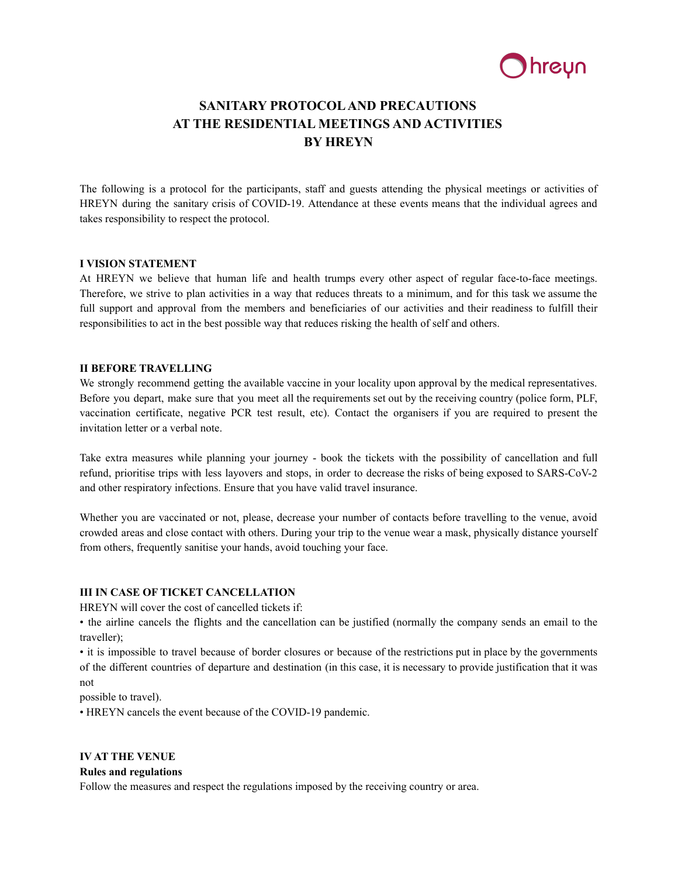

# **SANITARY PROTOCOLAND PRECAUTIONS AT THE RESIDENTIAL MEETINGS AND ACTIVITIES BY HREYN**

The following is a protocol for the participants, staff and guests attending the physical meetings or activities of HREYN during the sanitary crisis of COVID-19. Attendance at these events means that the individual agrees and takes responsibility to respect the protocol.

#### **I VISION STATEMENT**

At HREYN we believe that human life and health trumps every other aspect of regular face-to-face meetings. Therefore, we strive to plan activities in a way that reduces threats to a minimum, and for this task we assume the full support and approval from the members and beneficiaries of our activities and their readiness to fulfill their responsibilities to act in the best possible way that reduces risking the health of self and others.

#### **II BEFORE TRAVELLING**

We strongly recommend getting the available vaccine in your locality upon approval by the medical representatives. Before you depart, make sure that you meet all the requirements set out by the receiving country (police form, PLF, vaccination certificate, negative PCR test result, etc). Contact the organisers if you are required to present the invitation letter or a verbal note.

Take extra measures while planning your journey - book the tickets with the possibility of cancellation and full refund, prioritise trips with less layovers and stops, in order to decrease the risks of being exposed to SARS-CoV-2 and other respiratory infections. Ensure that you have valid travel insurance.

Whether you are vaccinated or not, please, decrease your number of contacts before travelling to the venue, avoid crowded areas and close contact with others. During your trip to the venue wear a mask, physically distance yourself from others, frequently sanitise your hands, avoid touching your face.

# **III IN CASE OF TICKET CANCELLATION**

HREYN will cover the cost of cancelled tickets if:

• the airline cancels the flights and the cancellation can be justified (normally the company sends an email to the traveller);

• it is impossible to travel because of border closures or because of the restrictions put in place by the governments of the different countries of departure and destination (in this case, it is necessary to provide justification that it was not

possible to travel).

• HREYN cancels the event because of the COVID-19 pandemic.

# **IV AT THE VENUE**

#### **Rules and regulations**

Follow the measures and respect the regulations imposed by the receiving country or area.